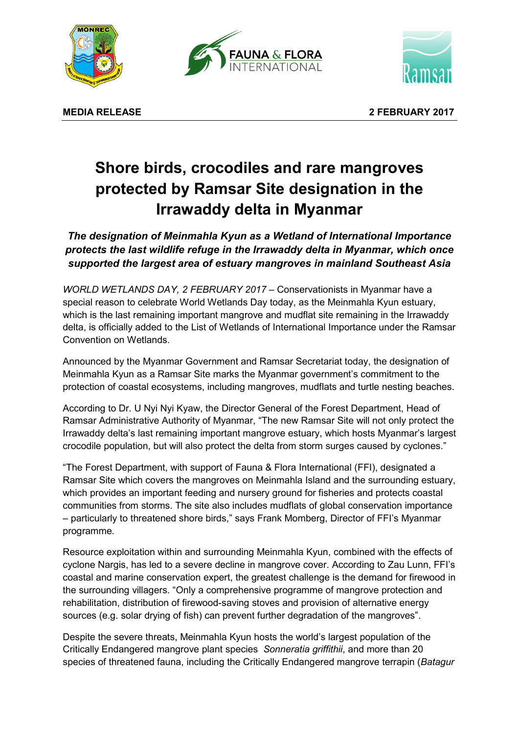





**MEDIA RELEASE 2 FEBRUARY 2017**

## **Shore birds, crocodiles and rare mangroves protected by Ramsar Site designation in the Irrawaddy delta in Myanmar**

*The designation of Meinmahla Kyun as a Wetland of International Importance protects the last wildlife refuge in the Irrawaddy delta in Myanmar, which once supported the largest area of estuary mangroves in mainland Southeast Asia*

*WORLD WETLANDS DAY, 2 FEBRUARY 2017 –* Conservationists in Myanmar have a special reason to celebrate World Wetlands Day today, as the Meinmahla Kyun estuary, which is the last remaining important mangrove and mudflat site remaining in the Irrawaddy delta, is officially added to the List of Wetlands of International Importance under the Ramsar Convention on Wetlands.

Announced by the Myanmar Government and Ramsar Secretariat today, the designation of Meinmahla Kyun as a Ramsar Site marks the Myanmar government's commitment to the protection of coastal ecosystems, including mangroves, mudflats and turtle nesting beaches.

According to Dr. U Nyi Nyi Kyaw, the Director General of the Forest Department, Head of Ramsar Administrative Authority of Myanmar, "The new Ramsar Site will not only protect the Irrawaddy delta's last remaining important mangrove estuary, which hosts Myanmar's largest crocodile population, but will also protect the delta from storm surges caused by cyclones."

"The Forest Department, with support of Fauna & Flora International (FFI), designated a Ramsar Site which covers the mangroves on Meinmahla Island and the surrounding estuary, which provides an important feeding and nursery ground for fisheries and protects coastal communities from storms. The site also includes mudflats of global conservation importance – particularly to threatened shore birds," says Frank Momberg, Director of FFI's Myanmar programme.

Resource exploitation within and surrounding Meinmahla Kyun, combined with the effects of cyclone Nargis, has led to a severe decline in mangrove cover. According to Zau Lunn, FFI's coastal and marine conservation expert, the greatest challenge is the demand for firewood in the surrounding villagers. "Only a comprehensive programme of mangrove protection and rehabilitation, distribution of firewood-saving stoves and provision of alternative energy sources (e.g. solar drying of fish) can prevent further degradation of the mangroves".

Despite the severe threats, Meinmahla Kyun hosts the world's largest population of the Critically Endangered mangrove plant species *Sonneratia griffithii*, and more than 20 species of threatened fauna, including the Critically Endangered mangrove terrapin (*Batagur*